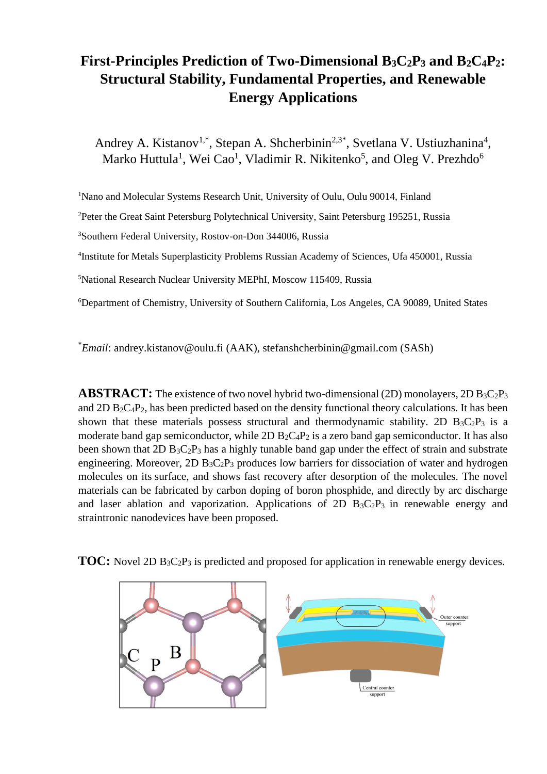# **First-Principles Prediction of Two-Dimensional B3C2P<sup>3</sup> and B2C4P2: Structural Stability, Fundamental Properties, and Renewable Energy Applications**

Andrey A. Kistanov<sup>1,\*</sup>, Stepan A. Shcherbinin<sup>2,3\*</sup>, Svetlana V. Ustiuzhanina<sup>4</sup>, Marko Huttula<sup>1</sup>, Wei Cao<sup>1</sup>, Vladimir R. Nikitenko<sup>5</sup>, and Oleg V. Prezhdo<sup>6</sup>

<sup>1</sup>Nano and Molecular Systems Research Unit, University of Oulu, Oulu 90014, Finland

<sup>2</sup>Peter the Great Saint Petersburg Polytechnical University, Saint Petersburg 195251, Russia

<sup>3</sup>Southern Federal University, Rostov-on-Don 344006, Russia

<sup>4</sup>Institute for Metals Superplasticity Problems Russian Academy of Sciences, Ufa 450001, Russia

<sup>5</sup>National Research Nuclear University MEPhI, Moscow 115409, Russia

<sup>6</sup>Department of Chemistry, University of Southern California, Los Angeles, CA 90089, United States

\**Email*: andrey.kistanov@oulu.fi (AAK), stefanshcherbinin@gmail.com (SASh)

**ABSTRACT:** The existence of two novel hybrid two-dimensional (2D) monolayers,  $2D B_3C_2P_3$ and 2D  $B_2C_4P_2$ , has been predicted based on the density functional theory calculations. It has been shown that these materials possess structural and thermodynamic stability. 2D  $B_3C_2P_3$  is a moderate band gap semiconductor, while  $2D B_2C_4P_2$  is a zero band gap semiconductor. It has also been shown that  $2D B_3C_2P_3$  has a highly tunable band gap under the effect of strain and substrate engineering. Moreover, 2D  $B_3C_2P_3$  produces low barriers for dissociation of water and hydrogen molecules on its surface, and shows fast recovery after desorption of the molecules. The novel materials can be fabricated by carbon doping of boron phosphide, and directly by arc discharge and laser ablation and vaporization. Applications of 2D  $B_3C_2P_3$  in renewable energy and straintronic nanodevices have been proposed.



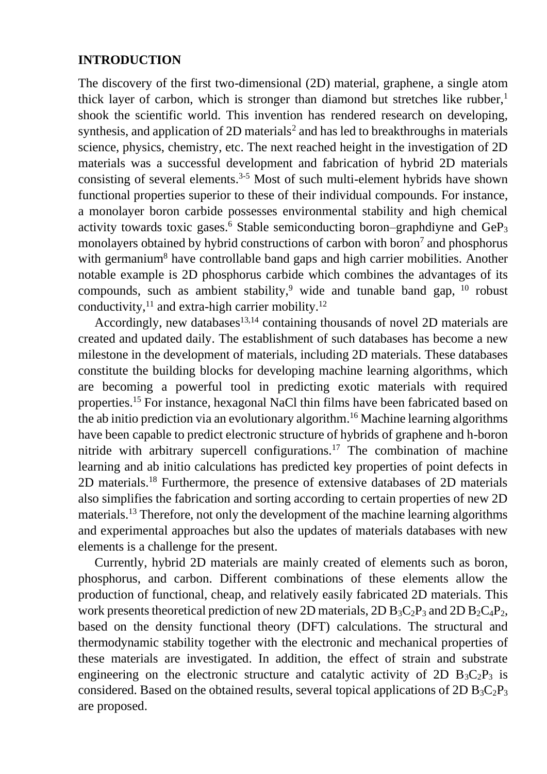# **INTRODUCTION**

The discovery of the first two-dimensional (2D) material, graphene, a single atom thick layer of carbon, which is stronger than diamond but stretches like rubber, $<sup>1</sup>$ </sup> shook the scientific world. This invention has rendered research on developing, synthesis, and application of  $2D$  materials<sup>2</sup> and has led to breakthroughs in materials science, physics, chemistry, etc. The next reached height in the investigation of 2D materials was a successful development and fabrication of hybrid 2D materials consisting of several elements.<sup>3-5</sup> Most of such multi-element hybrids have shown functional properties superior to these of their individual compounds. For instance, a monolayer boron carbide possesses environmental stability and high chemical activity towards toxic gases.<sup>6</sup> Stable semiconducting boron–graphdiyne and  $\text{GeP}_3$ monolayers obtained by hybrid constructions of carbon with boron<sup>7</sup> and phosphorus with germanium<sup>8</sup> have controllable band gaps and high carrier mobilities. Another notable example is 2D phosphorus carbide which combines the advantages of its compounds, such as ambient stability,<sup>9</sup> wide and tunable band gap,  $10$  robust conductivity, $^{11}$  and extra-high carrier mobility.<sup>12</sup>

Accordingly, new databases<sup>13,14</sup> containing thousands of novel 2D materials are created and updated daily. The establishment of such databases has become a new milestone in the development of materials, including 2D materials. These databases constitute the building blocks for developing machine learning algorithms, which are becoming a powerful tool in predicting exotic materials with required properties.<sup>15</sup> For instance, hexagonal NaCl thin films have been fabricated based on the ab initio prediction via an evolutionary algorithm. <sup>16</sup> Machine learning algorithms have been capable to predict electronic structure of hybrids of graphene and h-boron nitride with arbitrary supercell configurations.<sup>17</sup> The combination of machine learning and ab initio calculations has predicted key properties of point defects in 2D materials.<sup>18</sup> Furthermore, the presence of extensive databases of 2D materials also simplifies the fabrication and sorting according to certain properties of new 2D materials.<sup>13</sup> Therefore, not only the development of the machine learning algorithms and experimental approaches but also the updates of materials databases with new elements is a challenge for the present.

Currently, hybrid 2D materials are mainly created of elements such as boron, phosphorus, and carbon. Different combinations of these elements allow the production of functional, cheap, and relatively easily fabricated 2D materials. This work presents theoretical prediction of new 2D materials, 2D  $B_3C_2P_3$  and 2D  $B_2C_4P_2$ , based on the density functional theory (DFT) calculations. The structural and thermodynamic stability together with the electronic and mechanical properties of these materials are investigated. In addition, the effect of strain and substrate engineering on the electronic structure and catalytic activity of 2D  $B_3C_2P_3$  is considered. Based on the obtained results, several topical applications of  $2D B_3C_2P_3$ are proposed.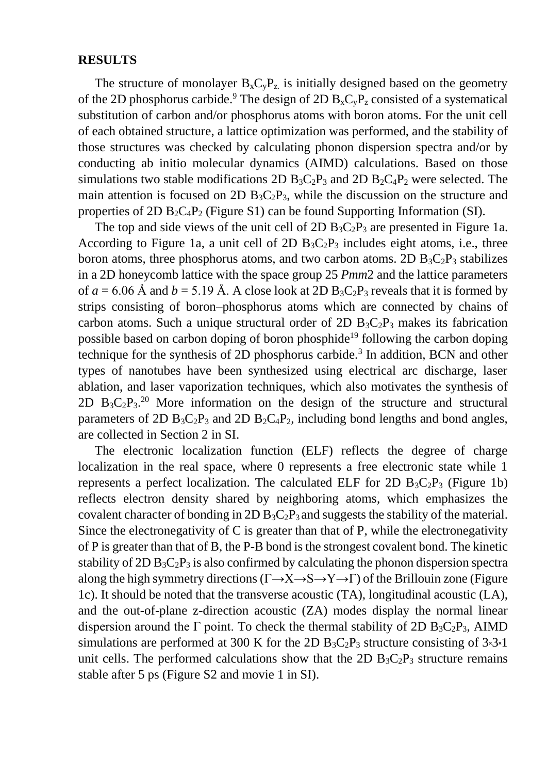#### **RESULTS**

The structure of monolayer  $B_xC_vP_z$  is initially designed based on the geometry of the 2D phosphorus carbide.<sup>9</sup> The design of 2D  $B_xC_yP_z$  consisted of a systematical substitution of carbon and/or phosphorus atoms with boron atoms. For the unit cell of each obtained structure, a lattice optimization was performed, and the stability of those structures was checked by calculating phonon dispersion spectra and/or by conducting ab initio molecular dynamics (AIMD) calculations. Based on those simulations two stable modifications 2D  $B_3C_2P_3$  and 2D  $B_2C_4P_2$  were selected. The main attention is focused on 2D  $B_3C_2P_3$ , while the discussion on the structure and properties of 2D  $B_2C_4P_2$  (Figure S1) can be found Supporting Information (SI).

The top and side views of the unit cell of  $2D B_3C_2P_3$  are presented in Figure 1a. According to Figure 1a, a unit cell of 2D  $B_3C_2P_3$  includes eight atoms, i.e., three boron atoms, three phosphorus atoms, and two carbon atoms. 2D  $B_3C_2P_3$  stabilizes in a 2D honeycomb lattice with the space group 25 *Pmm*2 and the lattice parameters of  $a = 6.06$  Å and  $b = 5.19$  Å. A close look at 2D  $B_3C_2P_3$  reveals that it is formed by strips consisting of boron–phosphorus atoms which are connected by chains of carbon atoms. Such a unique structural order of 2D  $B_3C_2P_3$  makes its fabrication possible based on carbon doping of boron phosphide<sup>19</sup> following the carbon doping technique for the synthesis of 2D phosphorus carbide.<sup>3</sup> In addition, BCN and other types of nanotubes have been synthesized using electrical arc discharge, laser ablation, and laser vaporization techniques, which also motivates the synthesis of 2D  $B_3C_2P_3$ <sup>20</sup> More information on the design of the structure and structural parameters of 2D  $B_3C_2P_3$  and 2D  $B_2C_4P_2$ , including bond lengths and bond angles, are collected in Section 2 in SI.

The electronic localization function (ELF) reflects the degree of charge localization in the real space, where 0 represents a free electronic state while 1 represents a perfect localization. The calculated ELF for 2D  $B_3C_2P_3$  (Figure 1b) reflects electron density shared by neighboring atoms, which emphasizes the covalent character of bonding in 2D  $B_3C_2P_3$  and suggests the stability of the material. Since the electronegativity of C is greater than that of P, while the electronegativity of P is greater than that of B, the P-B bond is the strongest covalent bond. The kinetic stability of 2D  $B_3C_2P_3$  is also confirmed by calculating the phonon dispersion spectra along the high symmetry directions ( $\Gamma \rightarrow X \rightarrow S \rightarrow Y \rightarrow \Gamma$ ) of the Brillouin zone (Figure 1c). It should be noted that the transverse acoustic (TA), longitudinal acoustic (LA), and the out-of-plane z-direction acoustic (ZA) modes display the normal linear dispersion around the  $\Gamma$  point. To check the thermal stability of 2D B<sub>3</sub>C<sub>2</sub>P<sub>3</sub>, AIMD simulations are performed at 300 K for the 2D  $B_3C_2P_3$  structure consisting of  $3\times3\times1$ unit cells. The performed calculations show that the 2D  $B_3C_2P_3$  structure remains stable after 5 ps (Figure S2 and movie 1 in SI).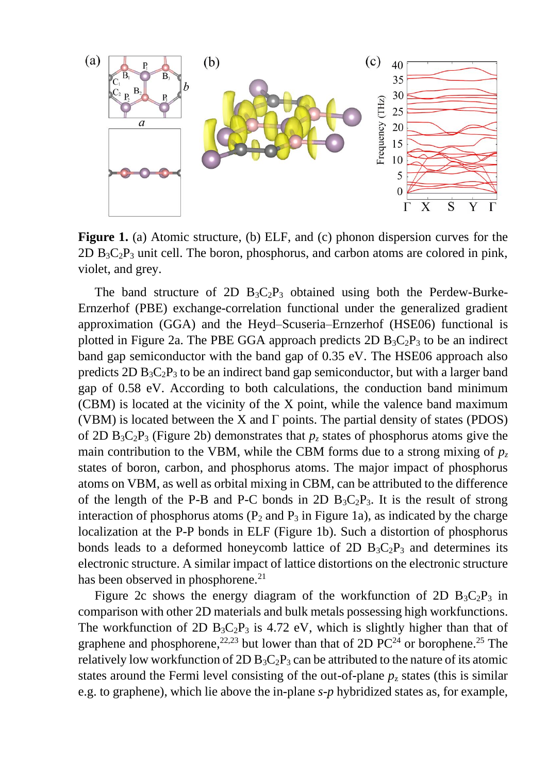

**Figure 1.** (a) Atomic structure, (b) ELF, and (c) phonon dispersion curves for the  $2D B_3C_2P_3$  unit cell. The boron, phosphorus, and carbon atoms are colored in pink, violet, and grey.

The band structure of 2D  $B_3C_2P_3$  obtained using both the Perdew-Burke-Ernzerhof (PBE) exchange-correlation functional under the generalized gradient approximation (GGA) and the Heyd–Scuseria–Ernzerhof (HSE06) functional is plotted in Figure 2a. The PBE GGA approach predicts 2D  $B_3C_2P_3$  to be an indirect band gap semiconductor with the band gap of 0.35 eV. The HSE06 approach also predicts  $2D B_3C_2P_3$  to be an indirect band gap semiconductor, but with a larger band gap of 0.58 eV. According to both calculations, the conduction band minimum (CBM) is located at the vicinity of the X point, while the valence band maximum (VBM) is located between the X and  $\Gamma$  points. The partial density of states (PDOS) of 2D  $B_3C_2P_3$  (Figure 2b) demonstrates that  $p_z$  states of phosphorus atoms give the main contribution to the VBM, while the CBM forms due to a strong mixing of  $p_z$ states of boron, carbon, and phosphorus atoms. The major impact of phosphorus atoms on VBM, as well as orbital mixing in CBM, can be attributed to the difference of the length of the P-B and P-C bonds in 2D  $B_3C_2P_3$ . It is the result of strong interaction of phosphorus atoms  $(P_2 \text{ and } P_3 \text{ in Figure 1a})$ , as indicated by the charge localization at the P-P bonds in ELF (Figure 1b). Such a distortion of phosphorus bonds leads to a deformed honeycomb lattice of 2D  $B_3C_2P_3$  and determines its electronic structure. A similar impact of lattice distortions on the electronic structure has been observed in phosphorene.<sup>21</sup>

Figure 2c shows the energy diagram of the workfunction of 2D  $B_3C_2P_3$  in comparison with other 2D materials and bulk metals possessing high workfunctions. The workfunction of 2D  $B_3C_2P_3$  is 4.72 eV, which is slightly higher than that of graphene and phosphorene,  $22,23$  but lower than that of 2D PC<sup>24</sup> or borophene.<sup>25</sup> The relatively low workfunction of 2D  $B_3C_2P_3$  can be attributed to the nature of its atomic states around the Fermi level consisting of the out-of-plane  $p<sub>z</sub>$  states (this is similar e.g. to graphene), which lie above the in-plane *s*-*p* hybridized states as, for example,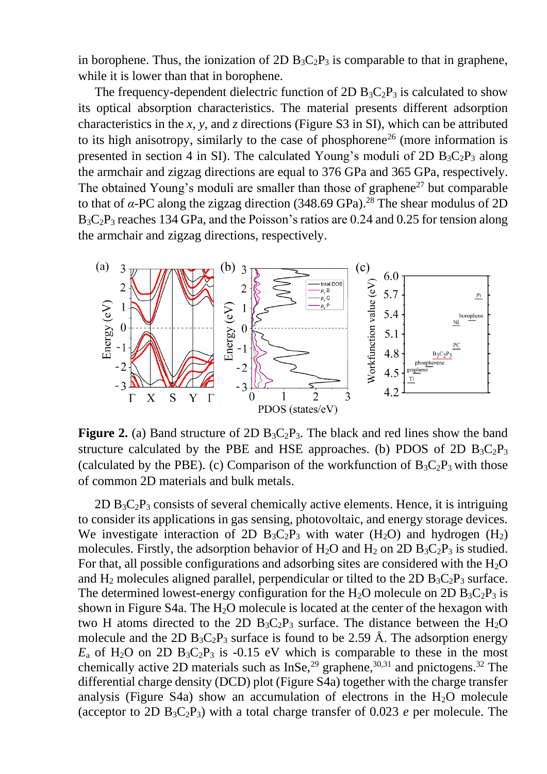in borophene. Thus, the ionization of 2D  $B_3C_2P_3$  is comparable to that in graphene, while it is lower than that in borophene.

The frequency-dependent dielectric function of 2D  $B_3C_2P_3$  is calculated to show its optical absorption characteristics. The material presents different adsorption characteristics in the *x*, *y*, and *z* directions (Figure S3 in SI), which can be attributed to its high anisotropy, similarly to the case of phosphorene<sup>26</sup> (more information is presented in section 4 in SI). The calculated Young's moduli of 2D  $B_3C_2P_3$  along the armchair and zigzag directions are equal to 376 GPa and 365 GPa, respectively. The obtained Young's moduli are smaller than those of graphene<sup>27</sup> but comparable to that of *α*-PC along the zigzag direction (348.69 GPa). <sup>28</sup> The shear modulus of 2D  $B_3C_2P_3$  reaches 134 GPa, and the Poisson's ratios are 0.24 and 0.25 for tension along the armchair and zigzag directions, respectively.



**Figure 2.** (a) Band structure of 2D  $B_3C_2P_3$ . The black and red lines show the band structure calculated by the PBE and HSE approaches. (b) PDOS of 2D  $B_3C_2P_3$ (calculated by the PBE). (c) Comparison of the workfunction of  $B_3C_2P_3$  with those of common 2D materials and bulk metals.

2D  $B_3C_2P_3$  consists of several chemically active elements. Hence, it is intriguing to consider its applications in gas sensing, photovoltaic, and energy storage devices. We investigate interaction of 2D  $B_3C_2P_3$  with water (H<sub>2</sub>O) and hydrogen (H<sub>2</sub>) molecules. Firstly, the adsorption behavior of H<sub>2</sub>O and H<sub>2</sub> on 2D B<sub>3</sub>C<sub>2</sub>P<sub>3</sub> is studied. For that, all possible configurations and adsorbing sites are considered with the  $H_2O$ and H<sub>2</sub> molecules aligned parallel, perpendicular or tilted to the 2D  $B_3C_2P_3$  surface. The determined lowest-energy configuration for the H<sub>2</sub>O molecule on 2D B<sub>3</sub>C<sub>2</sub>P<sub>3</sub> is shown in Figure S4a. The  $H_2O$  molecule is located at the center of the hexagon with two H atoms directed to the 2D  $B_3C_2P_3$  surface. The distance between the H<sub>2</sub>O molecule and the 2D  $B_3C_2P_3$  surface is found to be 2.59 Å. The adsorption energy  $E_a$  of H<sub>2</sub>O on 2D B<sub>3</sub>C<sub>2</sub>P<sub>3</sub> is -0.15 eV which is comparable to these in the most chemically active 2D materials such as  $InSe<sub>29</sub>$  graphene,<sup>30,31</sup> and pnictogens.<sup>32</sup> The differential charge density (DCD) plot (Figure S4a) together with the charge transfer analysis (Figure S4a) show an accumulation of electrons in the  $H<sub>2</sub>O$  molecule (acceptor to 2D  $B_3C_2P_3$ ) with a total charge transfer of 0.023 *e* per molecule. The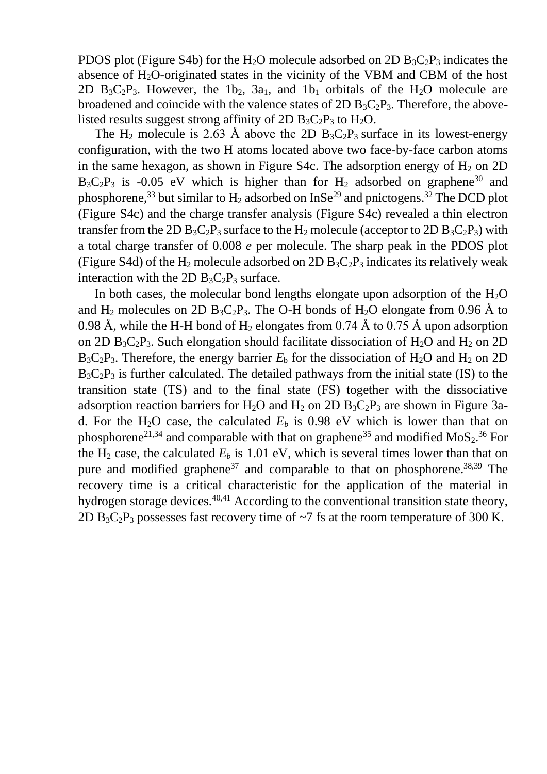PDOS plot (Figure S4b) for the H<sub>2</sub>O molecule adsorbed on 2D  $B_3C_2P_3$  indicates the absence of  $H_2O$ -originated states in the vicinity of the VBM and CBM of the host 2D  $B_3C_2P_3$ . However, the 1b<sub>2</sub>, 3a<sub>1</sub>, and 1b<sub>1</sub> orbitals of the H<sub>2</sub>O molecule are broadened and coincide with the valence states of  $2D B_3C_2P_3$ . Therefore, the abovelisted results suggest strong affinity of 2D  $B_3C_2P_3$  to  $H_2O$ .

The H<sub>2</sub> molecule is 2.63 Å above the 2D  $B_3C_2P_3$  surface in its lowest-energy configuration, with the two H atoms located above two face-by-face carbon atoms in the same hexagon, as shown in Figure S4c. The adsorption energy of  $H_2$  on 2D  $B_3C_2P_3$  is -0.05 eV which is higher than for H<sub>2</sub> adsorbed on graphene<sup>30</sup> and phosphorene,<sup>33</sup> but similar to  $H_2$  adsorbed on InSe<sup>29</sup> and pnictogens.<sup>32</sup> The DCD plot (Figure S4c) and the charge transfer analysis (Figure S4c) revealed a thin electron transfer from the 2D  $B_3C_2P_3$  surface to the  $H_2$  molecule (acceptor to 2D  $B_3C_2P_3$ ) with a total charge transfer of 0.008 *e* per molecule. The sharp peak in the PDOS plot (Figure S4d) of the H<sub>2</sub> molecule adsorbed on 2D  $B_3C_2P_3$  indicates its relatively weak interaction with the 2D  $B_3C_2P_3$  surface.

In both cases, the molecular bond lengths elongate upon adsorption of the  $H_2O$ and  $H_2$  molecules on 2D  $B_3C_2P_3$ . The O-H bonds of  $H_2O$  elongate from 0.96 Å to 0.98 Å, while the H-H bond of  $H_2$  elongates from 0.74 Å to 0.75 Å upon adsorption on 2D  $B_3C_2P_3$ . Such elongation should facilitate dissociation of  $H_2O$  and  $H_2$  on 2D  $B_3C_2P_3$ . Therefore, the energy barrier  $E_b$  for the dissociation of  $H_2O$  and  $H_2$  on 2D  $B_3C_2P_3$  is further calculated. The detailed pathways from the initial state (IS) to the transition state (TS) and to the final state (FS) together with the dissociative adsorption reaction barriers for  $H_2O$  and  $H_2$  on 2D  $B_3C_2P_3$  are shown in Figure 3ad. For the H<sub>2</sub>O case, the calculated  $E<sub>b</sub>$  is 0.98 eV which is lower than that on phosphorene<sup>21,34</sup> and comparable with that on graphene<sup>35</sup> and modified  $MoS<sub>2</sub>$ .<sup>36</sup> For the  $H_2$  case, the calculated  $E_b$  is 1.01 eV, which is several times lower than that on pure and modified graphene<sup>37</sup> and comparable to that on phosphorene.<sup>38,39</sup> The recovery time is a critical characteristic for the application of the material in hydrogen storage devices.<sup>40,41</sup> According to the conventional transition state theory, 2D  $B_3C_2P_3$  possesses fast recovery time of  $\sim$ 7 fs at the room temperature of 300 K.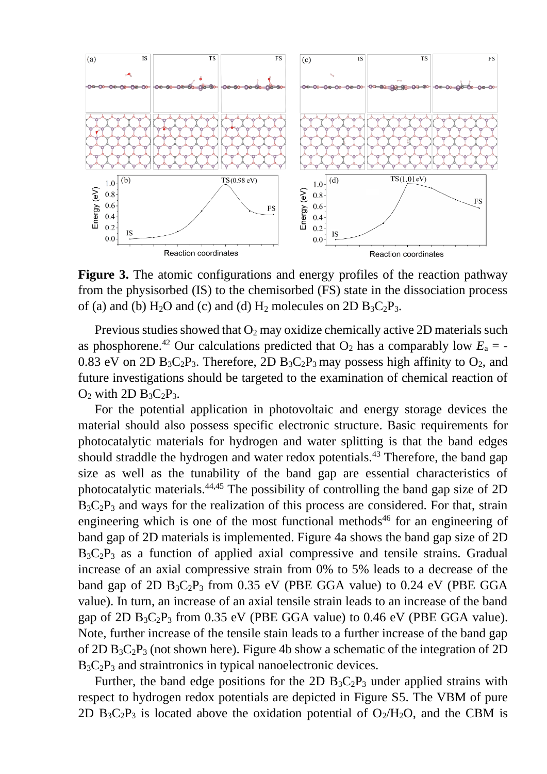

**Figure 3.** The atomic configurations and energy profiles of the reaction pathway from the physisorbed (IS) to the chemisorbed (FS) state in the dissociation process of (a) and (b) H<sub>2</sub>O and (c) and (d) H<sub>2</sub> molecules on 2D B<sub>3</sub>C<sub>2</sub>P<sub>3</sub>.

Previous studies showed that  $O_2$  may oxidize chemically active 2D materials such as phosphorene.<sup>42</sup> Our calculations predicted that  $O_2$  has a comparably low  $E_a$  = -0.83 eV on 2D  $B_3C_2P_3$ . Therefore, 2D  $B_3C_2P_3$  may possess high affinity to  $O_2$ , and future investigations should be targeted to the examination of chemical reaction of  $O_2$  with 2D  $B_3C_2P_3$ .

For the potential application in photovoltaic and energy storage devices the material should also possess specific electronic structure. Basic requirements for photocatalytic materials for hydrogen and water splitting is that the band edges should straddle the hydrogen and water redox potentials.<sup>43</sup> Therefore, the band gap size as well as the tunability of the band gap are essential characteristics of photocatalytic materials.44,45 The possibility of controlling the band gap size of 2D  $B_3C_2P_3$  and ways for the realization of this process are considered. For that, strain engineering which is one of the most functional methods<sup>46</sup> for an engineering of band gap of 2D materials is implemented. Figure 4a shows the band gap size of 2D  $B_3C_2P_3$  as a function of applied axial compressive and tensile strains. Gradual increase of an axial compressive strain from 0% to 5% leads to a decrease of the band gap of 2D  $B_3C_2P_3$  from 0.35 eV (PBE GGA value) to 0.24 eV (PBE GGA value). In turn, an increase of an axial tensile strain leads to an increase of the band gap of 2D  $B_3C_2P_3$  from 0.35 eV (PBE GGA value) to 0.46 eV (PBE GGA value). Note, further increase of the tensile stain leads to a further increase of the band gap of 2D  $B_3C_2P_3$  (not shown here). Figure 4b show a schematic of the integration of 2D  $B_3C_2P_3$  and straintronics in typical nanoelectronic devices.

Further, the band edge positions for the 2D  $B_3C_2P_3$  under applied strains with respect to hydrogen redox potentials are depicted in Figure S5. The VBM of pure 2D  $B_3C_2P_3$  is located above the oxidation potential of  $O_2/H_2O$ , and the CBM is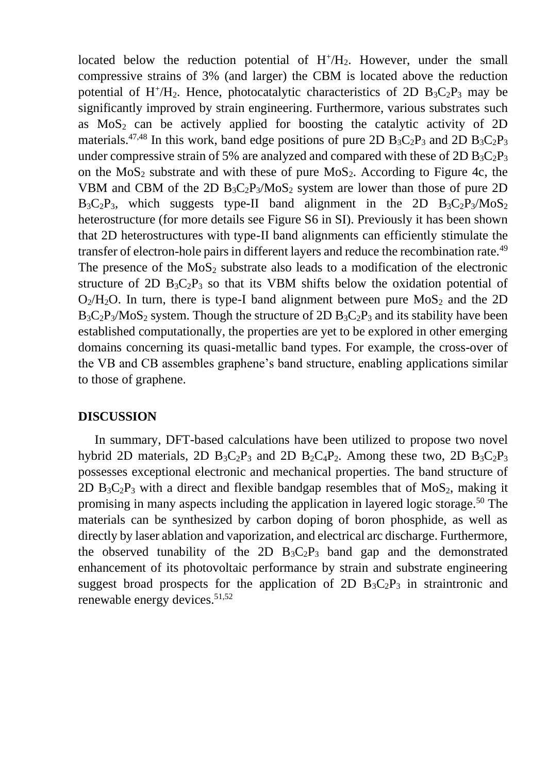located below the reduction potential of  $H^+/H_2$ . However, under the small compressive strains of 3% (and larger) the CBM is located above the reduction potential of  $H^+ / H_2$ . Hence, photocatalytic characteristics of 2D  $B_3C_2P_3$  may be significantly improved by strain engineering. Furthermore, various substrates such as  $MoS<sub>2</sub>$  can be actively applied for boosting the catalytic activity of 2D materials.<sup>47,48</sup> In this work, band edge positions of pure 2D  $B_3C_2P_3$  and 2D  $B_3C_2P_3$ under compressive strain of 5% are analyzed and compared with these of 2D  $B_3C_2P_3$ on the  $MoS<sub>2</sub>$  substrate and with these of pure  $MoS<sub>2</sub>$ . According to Figure 4c, the VBM and CBM of the 2D  $B_3C_2P_3/M_0S_2$  system are lower than those of pure 2D  $B_3C_2P_3$ , which suggests type-II band alignment in the 2D  $B_3C_2P_3/M_0S_2$ heterostructure (for more details see Figure S6 in SI). Previously it has been shown that 2D heterostructures with type-II band alignments can efficiently stimulate the transfer of electron-hole pairs in different layers and reduce the recombination rate.<sup>49</sup> The presence of the  $MoS<sub>2</sub>$  substrate also leads to a modification of the electronic structure of 2D  $B_3C_2P_3$  so that its VBM shifts below the oxidation potential of  $O_2/H_2O$ . In turn, there is type-I band alignment between pure  $MoS_2$  and the 2D  $B_3C_2P_3/M_0S_2$  system. Though the structure of 2D  $B_3C_2P_3$  and its stability have been established computationally, the properties are yet to be explored in other emerging domains concerning its quasi-metallic band types. For example, the cross-over of the VB and CB assembles graphene's band structure, enabling applications similar to those of graphene.

## **DISCUSSION**

In summary, DFT-based calculations have been utilized to propose two novel hybrid 2D materials, 2D  $B_3C_2P_3$  and 2D  $B_2C_4P_2$ . Among these two, 2D  $B_3C_2P_3$ possesses exceptional electronic and mechanical properties. The band structure of 2D  $B_3C_2P_3$  with a direct and flexible bandgap resembles that of MoS<sub>2</sub>, making it promising in many aspects including the application in layered logic storage.<sup>50</sup> The materials can be synthesized by carbon doping of boron phosphide, as well as directly by laser ablation and vaporization, and electrical arc discharge. Furthermore, the observed tunability of the 2D  $B_3C_2P_3$  band gap and the demonstrated enhancement of its photovoltaic performance by strain and substrate engineering suggest broad prospects for the application of 2D  $B_3C_2P_3$  in straintronic and renewable energy devices.<sup>51,52</sup>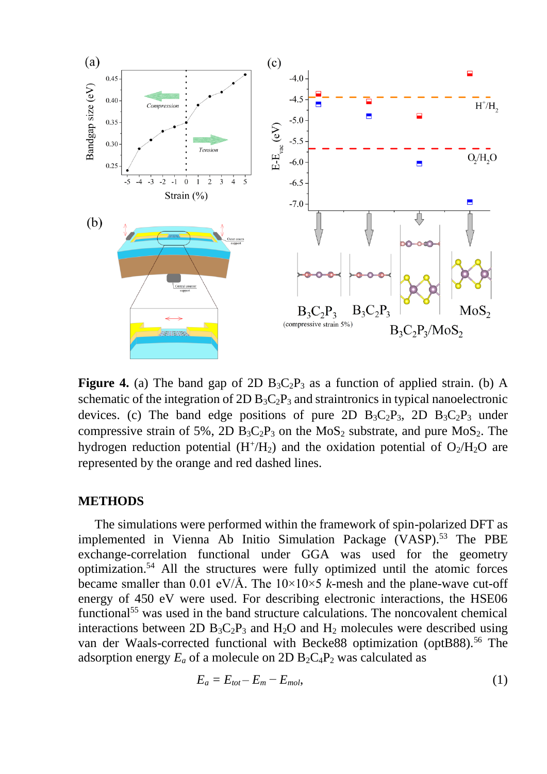

**Figure 4.** (a) The band gap of 2D  $B_3C_2P_3$  as a function of applied strain. (b) A schematic of the integration of 2D  $B_3C_2P_3$  and straintronics in typical nanoelectronic devices. (c) The band edge positions of pure 2D  $B_3C_2P_3$ , 2D  $B_3C_2P_3$  under compressive strain of 5%, 2D  $B_3C_2P_3$  on the MoS<sub>2</sub> substrate, and pure MoS<sub>2</sub>. The hydrogen reduction potential  $(H^+/H_2)$  and the oxidation potential of  $O_2/H_2O$  are represented by the orange and red dashed lines.

### **METHODS**

The simulations were performed within the framework of spin-polarized DFT as implemented in Vienna Ab Initio Simulation Package (VASP).<sup>53</sup> The PBE exchange-correlation functional under GGA was used for the geometry optimization.<sup>54</sup> All the structures were fully optimized until the atomic forces became smaller than 0.01 eV/Å. The  $10\times10\times5$  *k*-mesh and the plane-wave cut-off energy of 450 eV were used. For describing electronic interactions, the HSE06 functional<sup>55</sup> was used in the band structure calculations. The noncovalent chemical interactions between 2D  $B_3C_2P_3$  and  $H_2O$  and  $H_2$  molecules were described using van der Waals-corrected functional with Becke88 optimization (optB88).<sup>56</sup> The adsorption energy  $E_a$  of a molecule on 2D  $B_2C_4P_2$  was calculated as

$$
E_a = E_{tot} - E_m - E_{mol},\tag{1}
$$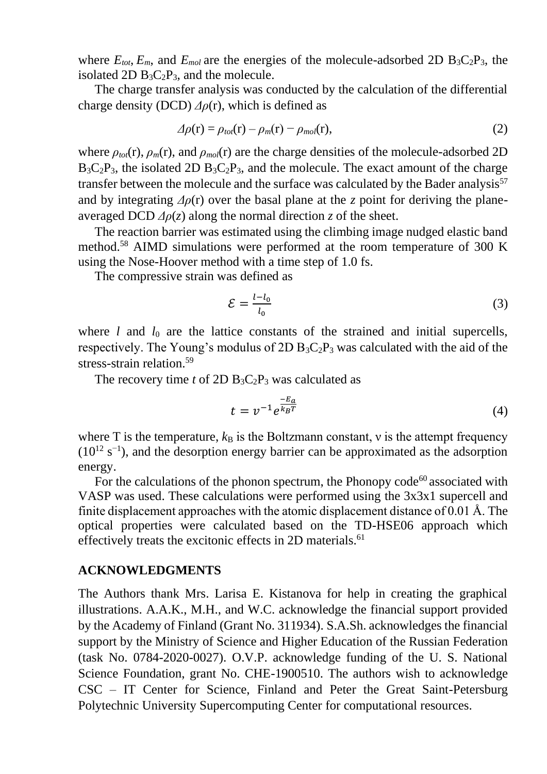where  $E_{tot}$ ,  $E_m$ , and  $E_{mol}$  are the energies of the molecule-adsorbed 2D  $B_3C_2P_3$ , the isolated 2D  $B_3C_2P_3$ , and the molecule.

The charge transfer analysis was conducted by the calculation of the differential charge density (DCD) *Δρ*(r), which is defined as

$$
\Delta \rho(\mathbf{r}) = \rho_{tot}(\mathbf{r}) - \rho_m(\mathbf{r}) - \rho_{mol}(\mathbf{r}), \qquad (2)
$$

where  $\rho_{tot}(r)$ ,  $\rho_m(r)$ , and  $\rho_{mol}(r)$  are the charge densities of the molecule-adsorbed 2D  $B_3C_2P_3$ , the isolated 2D  $B_3C_2P_3$ , and the molecule. The exact amount of the charge transfer between the molecule and the surface was calculated by the Bader analysis<sup>57</sup> and by integrating  $\Delta \rho(r)$  over the basal plane at the *z* point for deriving the planeaveraged DCD  $\Delta \rho(z)$  along the normal direction *z* of the sheet.

The reaction barrier was estimated using the climbing image nudged elastic band method.<sup>58</sup> AIMD simulations were performed at the room temperature of 300 K using the Nose-Hoover method with a time step of 1.0 fs.

The compressive strain was defined as

$$
\mathcal{E} = \frac{l - l_0}{l_0} \tag{3}
$$

where  $l$  and  $l_0$  are the lattice constants of the strained and initial supercells, respectively. The Young's modulus of 2D  $B_3C_2P_3$  was calculated with the aid of the stress-strain relation.<sup>59</sup>

The recovery time *t* of 2D  $B_3C_2P_3$  was calculated as

$$
t = v^{-1} e^{\frac{-E_a}{k_B T}}
$$
 (4)

where T is the temperature,  $k_B$  is the Boltzmann constant, v is the attempt frequency  $(10^{12} \text{ s}^{-1})$ , and the desorption energy barrier can be approximated as the adsorption energy.

For the calculations of the phonon spectrum, the Phonopy code<sup>60</sup> associated with VASP was used. These calculations were performed using the 3x3x1 supercell and finite displacement approaches with the atomic displacement distance of 0.01 Å. The optical properties were calculated based on the TD-HSE06 approach which effectively treats the excitonic effects in 2D materials.<sup>61</sup>

### **ACKNOWLEDGMENTS**

The Authors thank Mrs. Larisa E. Kistanova for help in creating the graphical illustrations. A.A.K., M.H., and W.C. acknowledge the financial support provided by the Academy of Finland (Grant No. 311934). S.A.Sh. acknowledges the financial support by the Ministry of Science and Higher Education of the Russian Federation (task No. 0784-2020-0027). O.V.P. acknowledge funding of the U. S. National Science Foundation, grant No. CHE-1900510. The authors wish to acknowledge CSC – IT Center for Science, Finland and Peter the Great Saint-Petersburg Polytechnic University Supercomputing Center for computational resources.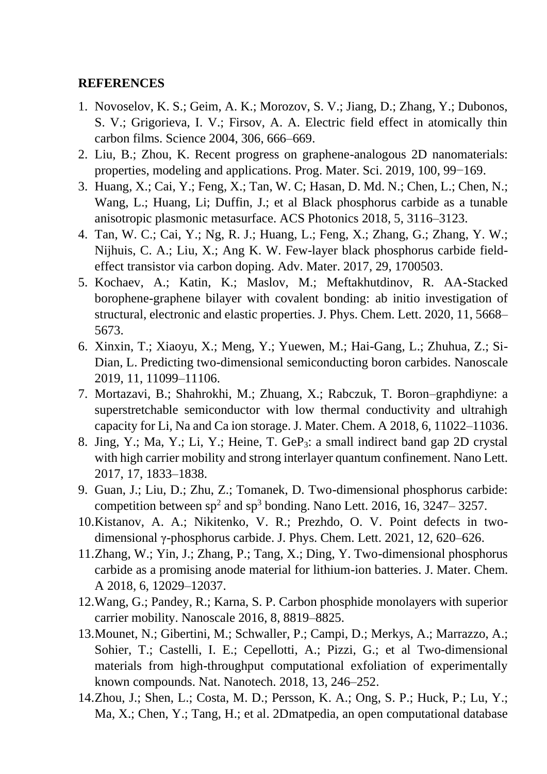# **REFERENCES**

- 1. Novoselov, K. S.; Geim, A. K.; Morozov, S. V.; Jiang, D.; Zhang, Y.; Dubonos, S. V.; Grigorieva, I. V.; Firsov, A. A. Electric field effect in atomically thin carbon films. Science 2004, 306, 666–669.
- 2. Liu, B.; Zhou, K. Recent progress on graphene-analogous 2D nanomaterials: properties, modeling and applications. Prog. Mater. Sci. 2019, 100, 99−169.
- 3. Huang, X.; Cai, Y.; Feng, X.; Tan, W. C; Hasan, D. Md. N.; Chen, L.; Chen, N.; Wang, L.; Huang, Li; Duffin, J.; et al Black phosphorus carbide as a tunable anisotropic plasmonic metasurface. ACS Photonics 2018, 5, 3116–3123.
- 4. Tan, W. C.; Cai, Y.; Ng, R. J.; Huang, L.; Feng, X.; Zhang, G.; Zhang, Y. W.; Nijhuis, C. A.; Liu, X.; Ang K. W. Few-layer black phosphorus carbide fieldeffect transistor via carbon doping. Adv. Mater. 2017, 29, 1700503.
- 5. Kochaev, A.; Katin, K.; Maslov, M.; Meftakhutdinov, R. AA-Stacked borophene-graphene bilayer with covalent bonding: ab initio investigation of structural, electronic and elastic properties. J. Phys. Chem. Lett. 2020, 11, 5668– 5673.
- 6. Xinxin, T.; Xiaoyu, X.; Meng, Y.; Yuewen, M.; Hai-Gang, L.; Zhuhua, Z.; Si-Dian, L. Predicting two-dimensional semiconducting boron carbides. Nanoscale 2019, 11, 11099–11106.
- 7. Mortazavi, B.; Shahrokhi, M.; Zhuang, X.; Rabczuk, T. Boron–graphdiyne: a superstretchable semiconductor with low thermal conductivity and ultrahigh capacity for Li, Na and Ca ion storage. J. Mater. Chem. A 2018, 6, 11022–11036.
- 8. Jing, Y.; Ma, Y.; Li, Y.; Heine, T. GeP3: a small indirect band gap 2D crystal with high carrier mobility and strong interlayer quantum confinement. Nano Lett. 2017, 17, 1833–1838.
- 9. Guan, J.; Liu, D.; Zhu, Z.; Tomanek, D. Two-dimensional phosphorus carbide: competition between  $sp^2$  and  $sp^3$  bonding. Nano Lett. 2016, 16, 3247–3257.
- 10.Kistanov, A. A.; Nikitenko, V. R.; Prezhdo, O. V. Point defects in twodimensional γ-phosphorus carbide. J. Phys. Chem. Lett. 2021, 12, 620–626.
- 11.Zhang, W.; Yin, J.; Zhang, P.; Tang, X.; Ding, Y. Two-dimensional phosphorus carbide as a promising anode material for lithium-ion batteries. J. Mater. Chem. A 2018, 6, 12029–12037.
- 12.Wang, G.; Pandey, R.; Karna, S. P. Carbon phosphide monolayers with superior carrier mobility. Nanoscale 2016, 8, 8819–8825.
- 13.Mounet, N.; Gibertini, M.; Schwaller, P.; Campi, D.; Merkys, A.; Marrazzo, A.; Sohier, T.; Castelli, I. E.; Cepellotti, A.; Pizzi, G.; et al Two-dimensional materials from high-throughput computational exfoliation of experimentally known compounds. Nat. Nanotech. 2018, 13, 246–252.
- 14.Zhou, J.; Shen, L.; Costa, M. D.; Persson, K. A.; Ong, S. P.; Huck, P.; Lu, Y.; Ma, X.; Chen, Y.; Tang, H.; et al. 2Dmatpedia, an open computational database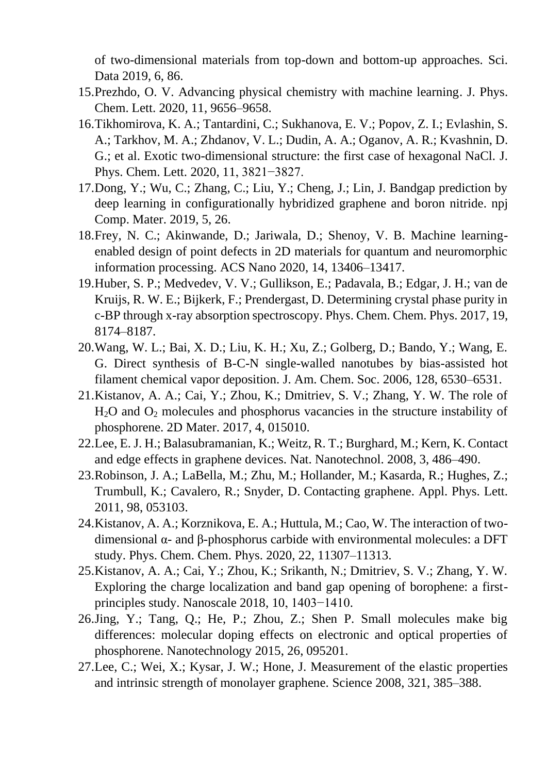of two-dimensional materials from top-down and bottom-up approaches. Sci. Data 2019, 6, 86.

- 15.Prezhdo, O. V. Advancing physical chemistry with machine learning. J. Phys. Chem. Lett. 2020, 11, 9656–9658.
- 16.Tikhomirova, K. A.; Tantardini, C.; Sukhanova, E. V.; Popov, Z. I.; Evlashin, S. A.; Tarkhov, M. A.; Zhdanov, V. L.; Dudin, A. A.; Oganov, A. R.; Kvashnin, D. G.; et al. Exotic two-dimensional structure: the first case of hexagonal NaCl. J. Phys. Chem. Lett. 2020, 11, 3821−3827.
- 17.Dong, Y.; Wu, C.; Zhang, C.; Liu, Y.; Cheng, J.; Lin, J. Bandgap prediction by deep learning in configurationally hybridized graphene and boron nitride. npj Comp. Mater. 2019, 5, 26.
- 18.Frey, N. C.; Akinwande, D.; Jariwala, D.; Shenoy, V. B. Machine learningenabled design of point defects in 2D materials for quantum and neuromorphic information processing. ACS Nano 2020, 14, 13406–13417.
- 19.Huber, S. P.; Medvedev, V. V.; Gullikson, E.; Padavala, B.; Edgar, J. H.; van de Kruijs, R. W. E.; Bijkerk, F.; Prendergast, D. Determining crystal phase purity in c-BP through x-ray absorption spectroscopy. Phys. Chem. Chem. Phys. 2017, 19, 8174–8187.
- 20.Wang, W. L.; Bai, X. D.; Liu, K. H.; Xu, Z.; Golberg, D.; Bando, Y.; Wang, E. G. Direct synthesis of B-C-N single-walled nanotubes by bias-assisted hot filament chemical vapor deposition. J. Am. Chem. Soc. 2006, 128, 6530–6531.
- 21.Kistanov, A. A.; Cai, Y.; Zhou, K.; Dmitriev, S. V.; Zhang, Y. W. The role of  $H<sub>2</sub>O$  and  $O<sub>2</sub>$  molecules and phosphorus vacancies in the structure instability of phosphorene. 2D Mater. 2017, 4, 015010.
- 22.Lee, E. J. H.; Balasubramanian, K.; Weitz, R. T.; Burghard, M.; Kern, K. Contact and edge effects in graphene devices. Nat. Nanotechnol. 2008, 3, 486–490.
- 23.Robinson, J. A.; LaBella, M.; Zhu, M.; Hollander, M.; Kasarda, R.; Hughes, Z.; Trumbull, K.; Cavalero, R.; Snyder, D. Contacting graphene. Appl. Phys. Lett. 2011, 98, 053103.
- 24.Kistanov, A. A.; Korznikova, E. A.; Huttula, M.; Cao, W. The interaction of twodimensional α- and β-phosphorus carbide with environmental molecules: a DFT study. Phys. Chem. Chem. Phys. 2020, 22, 11307–11313.
- 25.Kistanov, A. A.; Cai, Y.; Zhou, K.; Srikanth, N.; Dmitriev, S. V.; Zhang, Y. W. Exploring the charge localization and band gap opening of borophene: a firstprinciples study. Nanoscale 2018, 10, 1403−1410.
- 26.Jing, Y.; Tang, Q.; He, P.; Zhou, Z.; Shen P. Small molecules make big differences: molecular doping effects on electronic and optical properties of phosphorene. Nanotechnology 2015, 26, 095201.
- 27.Lee, C.; Wei, X.; Kysar, J. W.; Hone, J. Measurement of the elastic properties and intrinsic strength of monolayer graphene. Science 2008, 321, 385–388.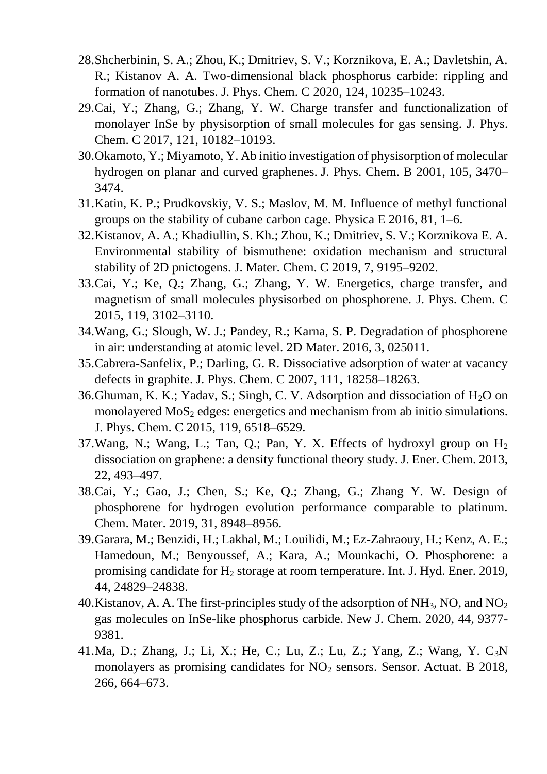- 28.Shcherbinin, S. A.; Zhou, K.; Dmitriev, S. V.; Korznikova, E. A.; Davletshin, A. R.; Kistanov A. A. Two-dimensional black phosphorus carbide: rippling and formation of nanotubes. J. Phys. Chem. C 2020, 124, 10235–10243.
- 29.Cai, Y.; Zhang, G.; Zhang, Y. W. Charge transfer and functionalization of monolayer InSe by physisorption of small molecules for gas sensing. J. Phys. Chem. C 2017, 121, 10182–10193.
- 30.Okamoto, Y.; Miyamoto, Y. Ab initio investigation of physisorption of molecular hydrogen on planar and curved graphenes. J. Phys. Chem. B 2001, 105, 3470– 3474.
- 31.Katin, K. P.; Prudkovskiy, V. S.; Maslov, M. M. Influence of methyl functional groups on the stability of cubane carbon cage. Physica E 2016, 81, 1–6.
- 32.Kistanov, A. A.; Khadiullin, S. Kh.; Zhou, K.; Dmitriev, S. V.; Korznikova E. A. Environmental stability of bismuthene: oxidation mechanism and structural stability of 2D pnictogens. J. Mater. Chem. C 2019, 7, 9195–9202.
- 33.Cai, Y.; Ke, Q.; Zhang, G.; Zhang, Y. W. Energetics, charge transfer, and magnetism of small molecules physisorbed on phosphorene. J. Phys. Chem. C 2015, 119, 3102–3110.
- 34.Wang, G.; Slough, W. J.; Pandey, R.; Karna, S. P. Degradation of phosphorene in air: understanding at atomic level. 2D Mater. 2016, 3, 025011.
- 35.Cabrera-Sanfelix, P.; Darling, G. R. Dissociative adsorption of water at vacancy defects in graphite. J. Phys. Chem. C 2007, 111, 18258–18263.
- 36. Ghuman, K. K.; Yadav, S.; Singh, C. V. Adsorption and dissociation of  $H_2O$  on monolayered  $MoS<sub>2</sub>$  edges: energetics and mechanism from ab initio simulations. J. Phys. Chem. C 2015, 119, 6518–6529.
- 37. Wang, N.; Wang, L.; Tan, Q.; Pan, Y. X. Effects of hydroxyl group on  $H_2$ dissociation on graphene: a density functional theory study. J. Ener. Chem. 2013, 22, 493–497.
- 38.Cai, Y.; Gao, J.; Chen, S.; Ke, Q.; Zhang, G.; Zhang Y. W. Design of phosphorene for hydrogen evolution performance comparable to platinum. Chem. Mater. 2019, 31, 8948–8956.
- 39.Garara, M.; Benzidi, H.; Lakhal, M.; Louilidi, M.; Ez-Zahraouy, H.; Kenz, A. E.; Hamedoun, M.; Benyoussef, A.; Kara, A.; Mounkachi, O. Phosphorene: a promising candidate for  $H_2$  storage at room temperature. Int. J. Hyd. Ener. 2019, 44, 24829–24838.
- 40. Kistanov, A. A. The first-principles study of the adsorption of  $NH_3$ , NO, and  $NO_2$ gas molecules on InSe-like phosphorus carbide. New J. Chem. 2020, 44, 9377- 9381.
- 41.Ma, D.; Zhang, J.; Li, X.; He, C.; Lu, Z.; Lu, Z.; Yang, Z.; Wang, Y. C3N monolayers as promising candidates for  $NO<sub>2</sub>$  sensors. Sensor. Actuat. B 2018, 266, 664–673.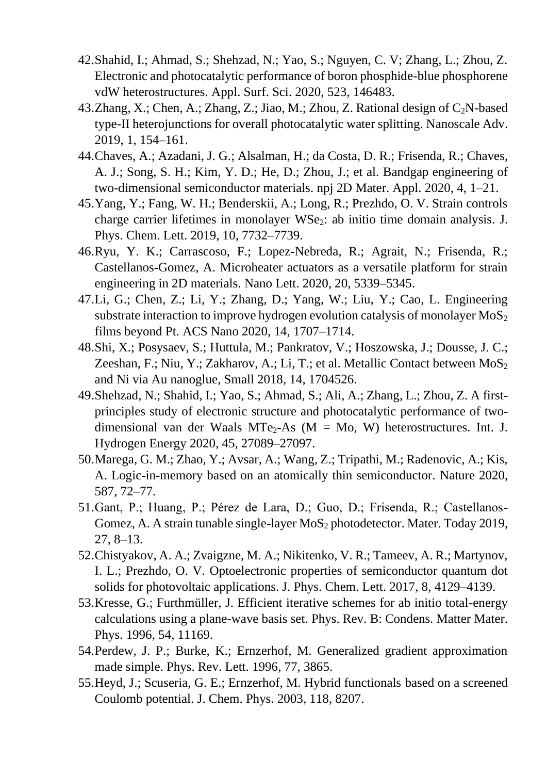- 42.Shahid, I.; Ahmad, S.; Shehzad, N.; Yao, S.; Nguyen, C. V; Zhang, L.; Zhou, Z. Electronic and photocatalytic performance of boron phosphide-blue phosphorene vdW heterostructures. Appl. Surf. Sci. 2020, 523, 146483.
- 43.Zhang, X.; Chen, A.; Zhang, Z.; Jiao, M.; Zhou, Z. Rational design of  $C_2N$ -based type-II heterojunctions for overall photocatalytic water splitting. Nanoscale Adv. 2019, 1, 154–161.
- 44.Chaves, A.; Azadani, J. G.; Alsalman, H.; da Costa, D. R.; Frisenda, R.; Chaves, A. J.; Song, S. H.; Kim, Y. D.; He, D.; Zhou, J.; et al. Bandgap engineering of two-dimensional semiconductor materials. npj 2D Mater. Appl. 2020, 4, 1–21.
- 45.Yang, Y.; Fang, W. H.; Benderskii, A.; Long, R.; Prezhdo, O. V. Strain controls charge carrier lifetimes in monolayer WSe<sub>2</sub>: ab initio time domain analysis. J. Phys. Chem. Lett. 2019, 10, 7732–7739.
- 46.Ryu, Y. K.; Carrascoso, F.; Lopez-Nebreda, R.; Agrait, N.; Frisenda, R.; Castellanos-Gomez, A. Microheater actuators as a versatile platform for strain engineering in 2D materials. Nano Lett. 2020, 20, 5339–5345.
- 47.Li, G.; Chen, Z.; Li, Y.; Zhang, D.; Yang, W.; Liu, Y.; Cao, L. Engineering substrate interaction to improve hydrogen evolution catalysis of monolayer  $MoS<sub>2</sub>$ films beyond Pt. ACS Nano 2020, 14, 1707–1714.
- 48.Shi, X.; Posysaev, S.; Huttula, M.; Pankratov, V.; Hoszowska, J.; Dousse, J. C.; Zeeshan, F.; Niu, Y.; Zakharov, A.; Li, T.; et al. Metallic Contact between  $MoS<sub>2</sub>$ and Ni via Au nanoglue, Small 2018, 14, 1704526.
- 49.Shehzad, N.; Shahid, I.; Yao, S.; Ahmad, S.; Ali, A.; Zhang, L.; Zhou, Z. A firstprinciples study of electronic structure and photocatalytic performance of twodimensional van der Waals MTe<sub>2</sub>-As ( $M = Mo$ , W) heterostructures. Int. J. Hydrogen Energy 2020, 45, 27089–27097.
- 50.Marega, G. M.; Zhao, Y.; Avsar, A.; Wang, Z.; Tripathi, M.; Radenovic, A.; Kis, A. Logic-in-memory based on an atomically thin semiconductor. Nature 2020, 587, 72–77.
- 51.Gant, P.; Huang, P.; Pérez de Lara, D.; Guo, D.; Frisenda, R.; Castellanos-Gomez, A. A strain tunable single-layer  $MoS<sub>2</sub>$  photodetector. Mater. Today 2019, 27, 8–13.
- 52.Chistyakov, A. A.; Zvaigzne, M. A.; Nikitenko, V. R.; Tameev, A. R.; Martynov, I. L.; Prezhdo, O. V. Optoelectronic properties of semiconductor quantum dot solids for photovoltaic applications. J. Phys. Chem. Lett. 2017, 8, 4129–4139.
- 53.Kresse, G.; Furthmüller, J. Efficient iterative schemes for ab initio total-energy calculations using a plane-wave basis set. Phys. Rev. B: Condens. Matter Mater. Phys. 1996, 54, 11169.
- 54.Perdew, J. P.; Burke, K.; Ernzerhof, M. Generalized gradient approximation made simple. Phys. Rev. Lett. 1996, 77, 3865.
- 55.Heyd, J.; Scuseria, G. E.; Ernzerhof, M. Hybrid functionals based on a screened Coulomb potential. J. Chem. Phys. 2003, 118, 8207.